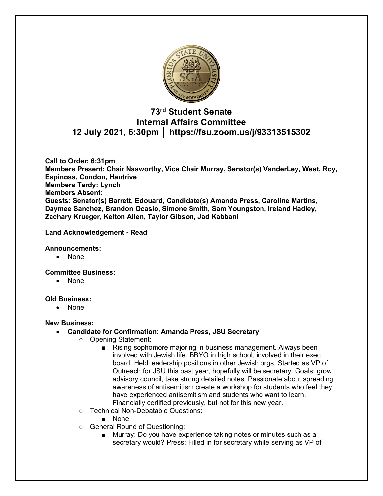

## **73rd Student Senate Internal Affairs Committee 12 July 2021, 6:30pm │ https://fsu.zoom.us/j/93313515302**

**Call to Order: 6:31pm Members Present: Chair Nasworthy, Vice Chair Murray, Senator(s) VanderLey, West, Roy, Espinosa, Condon, Hautrive Members Tardy: Lynch Members Absent: Guests: Senator(s) Barrett, Edouard, Candidate(s) Amanda Press, Caroline Martins, Daymee Sanchez, Brandon Ocasio, Simone Smith, Sam Youngston, Ireland Hadley, Zachary Krueger, Kelton Allen, Taylor Gibson, Jad Kabbani**

### **Land Acknowledgement - Read**

### **Announcements:**

• None

### **Committee Business:**

• None

### **Old Business:**

• None

## **New Business:**

- **Candidate for Confirmation: Amanda Press, JSU Secretary**
	- Opening Statement:
		- Rising sophomore majoring in business management. Always been involved with Jewish life. BBYO in high school, involved in their exec board. Held leadership positions in other Jewish orgs. Started as VP of Outreach for JSU this past year, hopefully will be secretary. Goals: grow advisory council, take strong detailed notes. Passionate about spreading awareness of antisemitism create a workshop for students who feel they have experienced antisemitism and students who want to learn. Financially certified previously, but not for this new year.
	- Technical Non-Debatable Questions:
		- None
	- General Round of Questioning:
		- Murray: Do you have experience taking notes or minutes such as a secretary would? Press: Filled in for secretary while serving as VP of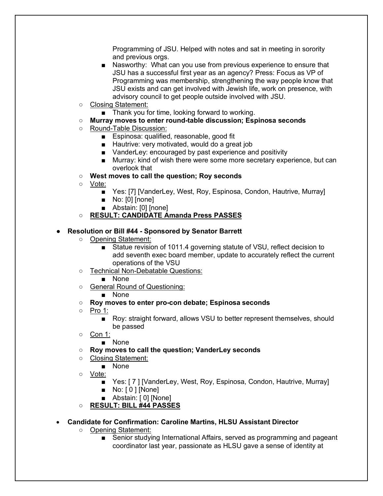Programming of JSU. Helped with notes and sat in meeting in sorority and previous orgs.

- Nasworthy: What can you use from previous experience to ensure that JSU has a successful first year as an agency? Press: Focus as VP of Programming was membership, strengthening the way people know that JSU exists and can get involved with Jewish life, work on presence, with advisory council to get people outside involved with JSU.
- Closing Statement:
	- Thank you for time, looking forward to working.

## ○ **Murray moves to enter round-table discussion; Espinosa seconds**

- Round-Table Discussion:
	- Espinosa: qualified, reasonable, good fit
	- Hautrive: very motivated, would do a great job
	- VanderLey: encouraged by past experience and positivity
	- Murray: kind of wish there were some more secretary experience, but can overlook that
- **West moves to call the question; Roy seconds**
- Vote:
	- Yes: [7] [VanderLey, West, Roy, Espinosa, Condon, Hautrive, Murray]
	- No: [0] [none]
	- Abstain: [0] [none]

## ○ **RESULT: CANDIDATE Amanda Press PASSES**

### ● **Resolution or Bill #44 - Sponsored by Senator Barrett**

- Opening Statement:
	- Statue revision of 1011.4 governing statute of VSU, reflect decision to add seventh exec board member, update to accurately reflect the current operations of the VSU
- Technical Non-Debatable Questions:
	- None
- General Round of Questioning:
	- None
- **Roy moves to enter pro-con debate; Espinosa seconds**
- Pro 1:
	- Roy: straight forward, allows VSU to better represent themselves, should be passed
- Con 1:
	- None
- **Roy moves to call the question; VanderLey seconds**
- Closing Statement:
	- None
- Vote:
	- Yes: [7] [VanderLey, West, Roy, Espinosa, Condon, Hautrive, Murray]
	- No: [0 ] [None]
	- Abstain: [0] [None]
- **RESULT: BILL #44 PASSES**

## • **Candidate for Confirmation: Caroline Martins, HLSU Assistant Director**

- Opening Statement:
	- Senior studying International Affairs, served as programming and pageant coordinator last year, passionate as HLSU gave a sense of identity at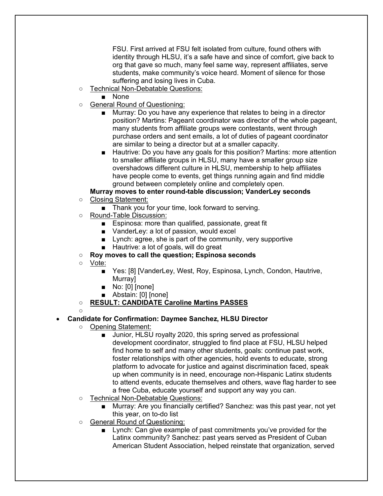FSU. First arrived at FSU felt isolated from culture, found others with identity through HLSU, it's a safe have and since of comfort, give back to org that gave so much, many feel same way, represent affiliates, serve students, make community's voice heard. Moment of silence for those suffering and losing lives in Cuba.

- Technical Non-Debatable Questions:
	- None
- General Round of Questioning:
	- Murray: Do you have any experience that relates to being in a director position? Martins: Pageant coordinator was director of the whole pageant, many students from affiliate groups were contestants, went through purchase orders and sent emails, a lot of duties of pageant coordinator are similar to being a director but at a smaller capacity.
	- Hautrive: Do you have any goals for this position? Martins: more attention to smaller affiliate groups in HLSU, many have a smaller group size overshadows different culture in HLSU, membership to help affiliates have people come to events, get things running again and find middle ground between completely online and completely open.

## **Murray moves to enter round-table discussion; VanderLey seconds**

- Closing Statement:
	- Thank you for your time, look forward to serving.
- Round-Table Discussion:
	- Espinosa: more than qualified, passionate, great fit
	- VanderLey: a lot of passion, would excel
	- Lynch: agree, she is part of the community, very supportive
	- Hautrive: a lot of goals, will do great
- **Roy moves to call the question; Espinosa seconds**
- Vote:
	- Yes: [8] [VanderLey, West, Roy, Espinosa, Lynch, Condon, Hautrive, Murray]
	- No: [0] [none]
	- Abstain: [0] [none]
- **RESULT: CANDIDATE Caroline Martins PASSES**
- $\circ$

## • **Candidate for Confirmation: Daymee Sanchez, HLSU Director**

- Opening Statement:
	- Junior, HLSU royalty 2020, this spring served as professional development coordinator, struggled to find place at FSU, HLSU helped find home to self and many other students, goals: continue past work, foster relationships with other agencies, hold events to educate, strong platform to advocate for justice and against discrimination faced, speak up when community is in need, encourage non-Hispanic Latinx students to attend events, educate themselves and others, wave flag harder to see a free Cuba, educate yourself and support any way you can.
- Technical Non-Debatable Questions:
	- Murray: Are you financially certified? Sanchez: was this past year, not yet this year, on to-do list
- General Round of Questioning:
	- Lynch: Can give example of past commitments you've provided for the Latinx community? Sanchez: past years served as President of Cuban American Student Association, helped reinstate that organization, served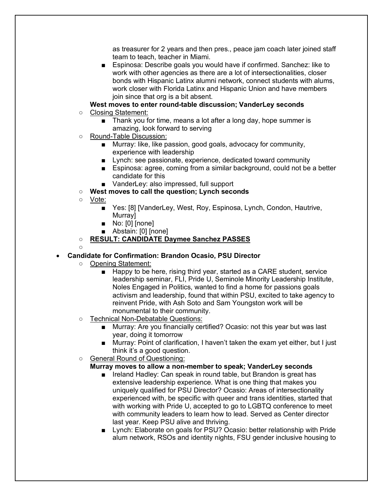as treasurer for 2 years and then pres., peace jam coach later joined staff team to teach, teacher in Miami.

- Espinosa: Describe goals you would have if confirmed. Sanchez: like to work with other agencies as there are a lot of intersectionalities, closer bonds with Hispanic Latinx alumni network, connect students with alums, work closer with Florida Latinx and Hispanic Union and have members join since that org is a bit absent.
- **West moves to enter round-table discussion; VanderLey seconds** ○ Closing Statement:
	- Thank you for time, means a lot after a long day, hope summer is amazing, look forward to serving
- Round-Table Discussion:
	- Murray: like, like passion, good goals, advocacy for community, experience with leadership
	- Lynch: see passionate, experience, dedicated toward community
	- Espinosa: agree, coming from a similar background, could not be a better candidate for this
	- VanderLey: also impressed, full support
- **West moves to call the question; Lynch seconds**
- Vote:

 $\circ$ 

- Yes: [8] [VanderLey, West, Roy, Espinosa, Lynch, Condon, Hautrive, Murray]
- No: [0] [none]
- Abstain: [0] [none]
- **RESULT: CANDIDATE Daymee Sanchez PASSES**

## • **Candidate for Confirmation: Brandon Ocasio, PSU Director**

- Opening Statement:
	- Happy to be here, rising third year, started as a CARE student, service leadership seminar, FLI, Pride U, Seminole Minority Leadership Institute, Noles Engaged in Politics, wanted to find a home for passions goals activism and leadership, found that within PSU, excited to take agency to reinvent Pride, with Ash Soto and Sam Youngston work will be monumental to their community.
- Technical Non-Debatable Questions:
	- Murray: Are you financially certified? Ocasio: not this year but was last year, doing it tomorrow
	- Murray: Point of clarification, I haven't taken the exam yet either, but I just think it's a good question.
- General Round of Questioning:

## **Murray moves to allow a non-member to speak; VanderLey seconds**

- Ireland Hadley: Can speak in round table, but Brandon is great has extensive leadership experience. What is one thing that makes you uniquely qualified for PSU Director? Ocasio: Areas of intersectionality experienced with, be specific with queer and trans identities, started that with working with Pride U, accepted to go to LGBTQ conference to meet with community leaders to learn how to lead. Served as Center director last year. Keep PSU alive and thriving.
- Lynch: Elaborate on goals for PSU? Ocasio: better relationship with Pride alum network, RSOs and identity nights, FSU gender inclusive housing to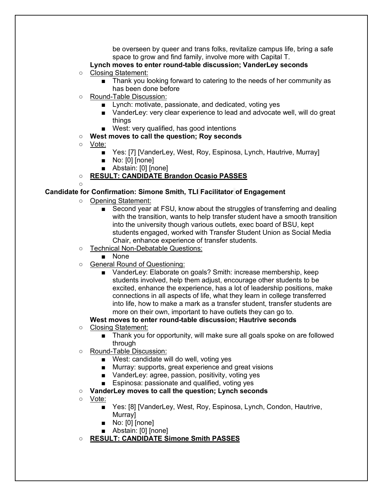be overseen by queer and trans folks, revitalize campus life, bring a safe space to grow and find family, involve more with Capital T.

## **Lynch moves to enter round-table discussion; VanderLey seconds**

- Closing Statement:
	- Thank you looking forward to catering to the needs of her community as has been done before
- Round-Table Discussion:
	- Lynch: motivate, passionate, and dedicated, voting yes
	- VanderLey: very clear experience to lead and advocate well, will do great things
	- West: very qualified, has good intentions
- **West moves to call the question; Roy seconds**
- Vote:
	- Yes: [7] [VanderLey, West, Roy, Espinosa, Lynch, Hautrive, Murray]
	- No: [0] [none]
	- Abstain: [0] [none]
- **RESULT: CANDIDATE Brandon Ocasio PASSES**

#### $\circ$ **Candidate for Confirmation: Simone Smith, TLI Facilitator of Engagement**

- Opening Statement:
	- Second year at FSU, know about the struggles of transferring and dealing with the transition, wants to help transfer student have a smooth transition into the university though various outlets, exec board of BSU, kept students engaged, worked with Transfer Student Union as Social Media Chair, enhance experience of transfer students.
- Technical Non-Debatable Questions:
	- None
- General Round of Questioning:
	- VanderLey: Elaborate on goals? Smith: increase membership, keep students involved, help them adjust, encourage other students to be excited, enhance the experience, has a lot of leadership positions, make connections in all aspects of life, what they learn in college transferred into life, how to make a mark as a transfer student, transfer students are more on their own, important to have outlets they can go to.

## **West moves to enter round-table discussion; Hautrive seconds**

- Closing Statement:
	- Thank you for opportunity, will make sure all goals spoke on are followed through
- Round-Table Discussion:
	- West: candidate will do well, voting yes
	- Murray: supports, great experience and great visions
	- VanderLey: agree, passion, positivity, voting yes
	- Espinosa: passionate and qualified, voting yes

### ○ **VanderLey moves to call the question; Lynch seconds**

- Vote:
	- Yes: [8] [VanderLey, West, Roy, Espinosa, Lynch, Condon, Hautrive, Murray]
	- No: [0] [none]
	- Abstain: [0] [none]
- **RESULT: CANDIDATE Simone Smith PASSES**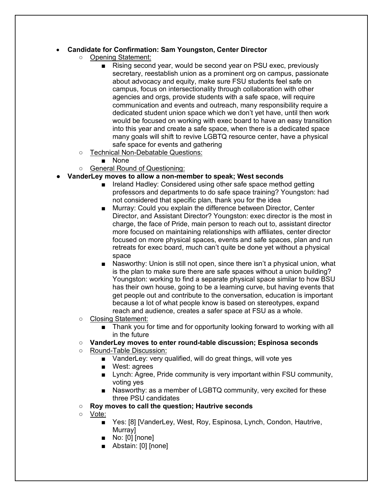## • **Candidate for Confirmation: Sam Youngston, Center Director**

- Opening Statement:
	- Rising second year, would be second year on PSU exec, previously secretary, reestablish union as a prominent org on campus, passionate about advocacy and equity, make sure FSU students feel safe on campus, focus on intersectionality through collaboration with other agencies and orgs, provide students with a safe space, will require communication and events and outreach, many responsibility require a dedicated student union space which we don't yet have, until then work would be focused on working with exec board to have an easy transition into this year and create a safe space, when there is a dedicated space many goals will shift to revive LGBTQ resource center, have a physical safe space for events and gathering
- Technical Non-Debatable Questions:
	- None
- General Round of Questioning:

### ● **VanderLey moves to allow a non-member to speak; West seconds**

- Ireland Hadley: Considered using other safe space method getting professors and departments to do safe space training? Youngston: had not considered that specific plan, thank you for the idea
- Murray: Could you explain the difference between Director, Center Director, and Assistant Director? Youngston: exec director is the most in charge, the face of Pride, main person to reach out to, assistant director more focused on maintaining relationships with affiliates, center director focused on more physical spaces, events and safe spaces, plan and run retreats for exec board, much can't quite be done yet without a physical space
- Nasworthy: Union is still not open, since there isn't a physical union, what is the plan to make sure there are safe spaces without a union building? Youngston: working to find a separate physical space similar to how BSU has their own house, going to be a learning curve, but having events that get people out and contribute to the conversation, education is important because a lot of what people know is based on stereotypes, expand reach and audience, creates a safer space at FSU as a whole.
- Closing Statement:
	- Thank you for time and for opportunity looking forward to working with all in the future
- **VanderLey moves to enter round-table discussion; Espinosa seconds**
- Round-Table Discussion:
	- VanderLey: very qualified, will do great things, will vote yes
	- West: agrees
	- Lynch: Agree, Pride community is very important within FSU community, voting yes
	- Nasworthy: as a member of LGBTQ community, very excited for these three PSU candidates
- **Roy moves to call the question; Hautrive seconds**
- Vote:
	- Yes: [8] [VanderLey, West, Roy, Espinosa, Lynch, Condon, Hautrive, Murray]
	- No: [0] [none]
	- Abstain: [0] [none]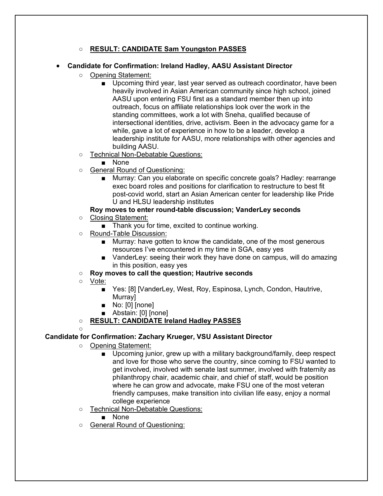## ○ **RESULT: CANDIDATE Sam Youngston PASSES**

### • **Candidate for Confirmation: Ireland Hadley, AASU Assistant Director**

- Opening Statement:
	- Upcoming third year, last year served as outreach coordinator, have been heavily involved in Asian American community since high school, joined AASU upon entering FSU first as a standard member then up into outreach, focus on affiliate relationships look over the work in the standing committees, work a lot with Sneha, qualified because of intersectional identities, drive, activism. Been in the advocacy game for a while, gave a lot of experience in how to be a leader, develop a leadership institute for AASU, more relationships with other agencies and building AASU.
- Technical Non-Debatable Questions:
	- None
- General Round of Questioning:
	- Murray: Can you elaborate on specific concrete goals? Hadley: rearrange exec board roles and positions for clarification to restructure to best fit post-covid world, start an Asian American center for leadership like Pride U and HLSU leadership institutes

# **Roy moves to enter round-table discussion; VanderLey seconds**

- Closing Statement:
	- Thank you for time, excited to continue working.
- Round-Table Discussion:
	- Murray: have gotten to know the candidate, one of the most generous resources I've encountered in my time in SGA, easy yes
	- VanderLey: seeing their work they have done on campus, will do amazing in this position, easy yes
- **Roy moves to call the question; Hautrive seconds**
- Vote:
	- Yes: [8] [VanderLey, West, Roy, Espinosa, Lynch, Condon, Hautrive, Murray]
	- No: [0] [none]
	- Abstain: [0] [none]
- **RESULT: CANDIDATE Ireland Hadley PASSES**

#### $\circ$ **Candidate for Confirmation: Zachary Krueger, VSU Assistant Director**

- Opening Statement:
	- Upcoming junior, grew up with a military background/family, deep respect and love for those who serve the country, since coming to FSU wanted to get involved, involved with senate last summer, involved with fraternity as philanthropy chair, academic chair, and chief of staff, would be position where he can grow and advocate, make FSU one of the most veteran friendly campuses, make transition into civilian life easy, enjoy a normal college experience
- Technical Non-Debatable Questions:
	- None
- General Round of Questioning: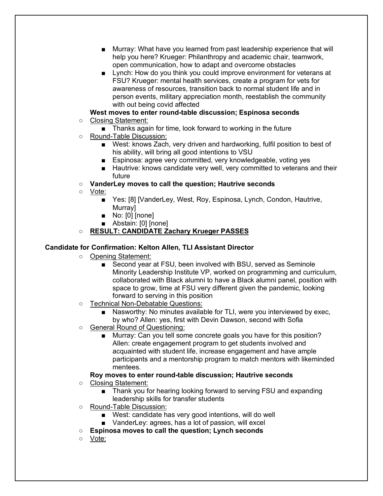- Murray: What have you learned from past leadership experience that will help you here? Krueger: Philanthropy and academic chair, teamwork, open communication, how to adapt and overcome obstacles
- Lynch: How do you think you could improve environment for veterans at FSU? Krueger: mental health services, create a program for vets for awareness of resources, transition back to normal student life and in person events, military appreciation month, reestablish the community with out being covid affected

## **West moves to enter round-table discussion; Espinosa seconds**

- Closing Statement:
	- Thanks again for time, look forward to working in the future
- Round-Table Discussion:
	- West: knows Zach, very driven and hardworking, fulfil position to best of his ability, will bring all good intentions to VSU
	- Espinosa: agree very committed, very knowledgeable, voting yes
	- Hautrive: knows candidate very well, very committed to veterans and their future
- **VanderLey moves to call the question; Hautrive seconds**
- Vote:
	- Yes: [8] [VanderLey, West, Roy, Espinosa, Lynch, Condon, Hautrive, **Murrav1**
	- No: [0] [none]
	- Abstain: [0] [none]
- **RESULT: CANDIDATE Zachary Krueger PASSES**

## **Candidate for Confirmation: Kelton Allen, TLI Assistant Director**

- Opening Statement:
	- Second year at FSU, been involved with BSU, served as Seminole Minority Leadership Institute VP, worked on programming and curriculum, collaborated with Black alumni to have a Black alumni panel, position with space to grow, time at FSU very different given the pandemic, looking forward to serving in this position
- Technical Non-Debatable Questions:
	- Nasworthy: No minutes available for TLI, were you interviewed by exec, by who? Allen: yes, first with Devin Dawson, second with Sofia
- General Round of Questioning:
	- Murray: Can you tell some concrete goals you have for this position? Allen: create engagement program to get students involved and acquainted with student life, increase engagement and have ample participants and a mentorship program to match mentors with likeminded mentees.

#### **Roy moves to enter round-table discussion; Hautrive seconds** ○ Closing Statement:

- Thank you for hearing looking forward to serving FSU and expanding leadership skills for transfer students
- Round-Table Discussion:
	- West: candidate has very good intentions, will do well
	- VanderLey: agrees, has a lot of passion, will excel
- **Espinosa moves to call the question; Lynch seconds**
- Vote: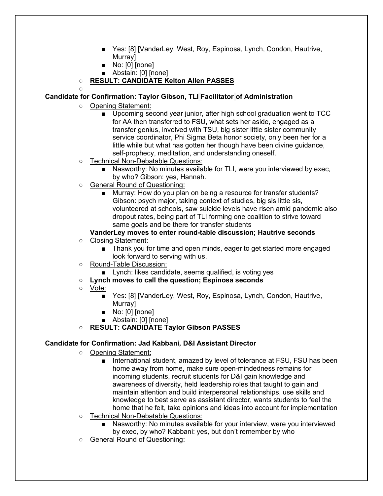- Yes: [8] [VanderLey, West, Roy, Espinosa, Lynch, Condon, Hautrive, Murray]
- No: [0] [none]
- Abstain: [0] [none]

## ○ **RESULT: CANDIDATE Kelton Allen PASSES**

## $\circ$

## **Candidate for Confirmation: Taylor Gibson, TLI Facilitator of Administration**

- Opening Statement:
	- Upcoming second year junior, after high school graduation went to TCC for AA then transferred to FSU, what sets her aside, engaged as a transfer genius, involved with TSU, big sister little sister community service coordinator, Phi Sigma Beta honor society, only been her for a little while but what has gotten her though have been divine guidance, self-prophecy, meditation, and understanding oneself.
- Technical Non-Debatable Questions:
	- Nasworthy: No minutes available for TLI, were you interviewed by exec, by who? Gibson: yes, Hannah.
- General Round of Questioning:
	- Murray: How do you plan on being a resource for transfer students? Gibson: psych major, taking context of studies, big sis little sis, volunteered at schools, saw suicide levels have risen amid pandemic also dropout rates, being part of TLI forming one coalition to strive toward same goals and be there for transfer students

## **VanderLey moves to enter round-table discussion; Hautrive seconds**

- Closing Statement:
	- Thank you for time and open minds, eager to get started more engaged look forward to serving with us.
- Round-Table Discussion:
	- Lynch: likes candidate, seems qualified, is voting yes
- **Lynch moves to call the question; Espinosa seconds**
- Vote:
	- Yes: [8] [VanderLey, West, Roy, Espinosa, Lynch, Condon, Hautrive, **Murrav1**
	- No: [0] [none]
	- Abstain: [0] [none]
- **RESULT: CANDIDATE Taylor Gibson PASSES**

### **Candidate for Confirmation: Jad Kabbani, D&I Assistant Director**

- Opening Statement:
	- International student, amazed by level of tolerance at FSU, FSU has been home away from home, make sure open-mindedness remains for incoming students, recruit students for D&I gain knowledge and awareness of diversity, held leadership roles that taught to gain and maintain attention and build interpersonal relationships, use skills and knowledge to best serve as assistant director, wants students to feel the home that he felt, take opinions and ideas into account for implementation
- Technical Non-Debatable Questions:
	- Nasworthy: No minutes available for your interview, were you interviewed by exec, by who? Kabbani: yes, but don't remember by who
- General Round of Questioning: